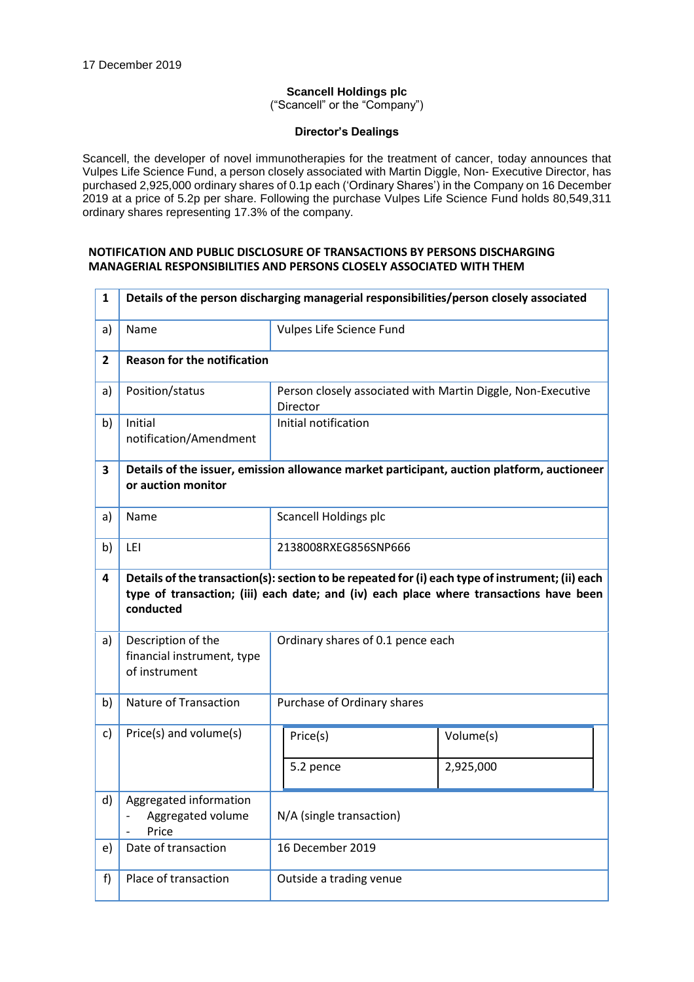# **Scancell Holdings plc**

("Scancell" or the "Company")

### **Director's Dealings**

Scancell, the developer of novel immunotherapies for the treatment of cancer, today announces that Vulpes Life Science Fund, a person closely associated with Martin Diggle, Non- Executive Director, has purchased 2,925,000 ordinary shares of 0.1p each ('Ordinary Shares') in the Company on 16 December 2019 at a price of 5.2p per share. Following the purchase Vulpes Life Science Fund holds 80,549,311 ordinary shares representing 17.3% of the company.

## **NOTIFICATION AND PUBLIC DISCLOSURE OF TRANSACTIONS BY PERSONS DISCHARGING MANAGERIAL RESPONSIBILITIES AND PERSONS CLOSELY ASSOCIATED WITH THEM**

| 1            | Details of the person discharging managerial responsibilities/person closely associated                                                                                                                 |                                                                         |                                                                                            |  |
|--------------|---------------------------------------------------------------------------------------------------------------------------------------------------------------------------------------------------------|-------------------------------------------------------------------------|--------------------------------------------------------------------------------------------|--|
| a)           | Name                                                                                                                                                                                                    | Vulpes Life Science Fund                                                |                                                                                            |  |
| $\mathbf{2}$ | <b>Reason for the notification</b>                                                                                                                                                                      |                                                                         |                                                                                            |  |
| a)           | Position/status                                                                                                                                                                                         | Person closely associated with Martin Diggle, Non-Executive<br>Director |                                                                                            |  |
| b)           | Initial<br>notification/Amendment                                                                                                                                                                       | Initial notification                                                    |                                                                                            |  |
| 3            | or auction monitor                                                                                                                                                                                      |                                                                         | Details of the issuer, emission allowance market participant, auction platform, auctioneer |  |
| a)           | Name                                                                                                                                                                                                    | <b>Scancell Holdings plc</b>                                            |                                                                                            |  |
| b)           | LEI                                                                                                                                                                                                     | 2138008RXEG856SNP666                                                    |                                                                                            |  |
| 4            | Details of the transaction(s): section to be repeated for (i) each type of instrument; (ii) each<br>type of transaction; (iii) each date; and (iv) each place where transactions have been<br>conducted |                                                                         |                                                                                            |  |
| a)           | Description of the<br>financial instrument, type<br>of instrument                                                                                                                                       | Ordinary shares of 0.1 pence each                                       |                                                                                            |  |
| b)           | Nature of Transaction                                                                                                                                                                                   | Purchase of Ordinary shares                                             |                                                                                            |  |
| c)           | Price(s) and volume(s)                                                                                                                                                                                  | Price(s)                                                                | Volume(s)                                                                                  |  |
|              |                                                                                                                                                                                                         | 5.2 pence                                                               | 2,925,000                                                                                  |  |
| d)           | Aggregated information<br>Aggregated volume<br>Price                                                                                                                                                    | N/A (single transaction)                                                |                                                                                            |  |
| e)           | Date of transaction                                                                                                                                                                                     | 16 December 2019                                                        |                                                                                            |  |
| f            | Place of transaction                                                                                                                                                                                    | Outside a trading venue                                                 |                                                                                            |  |